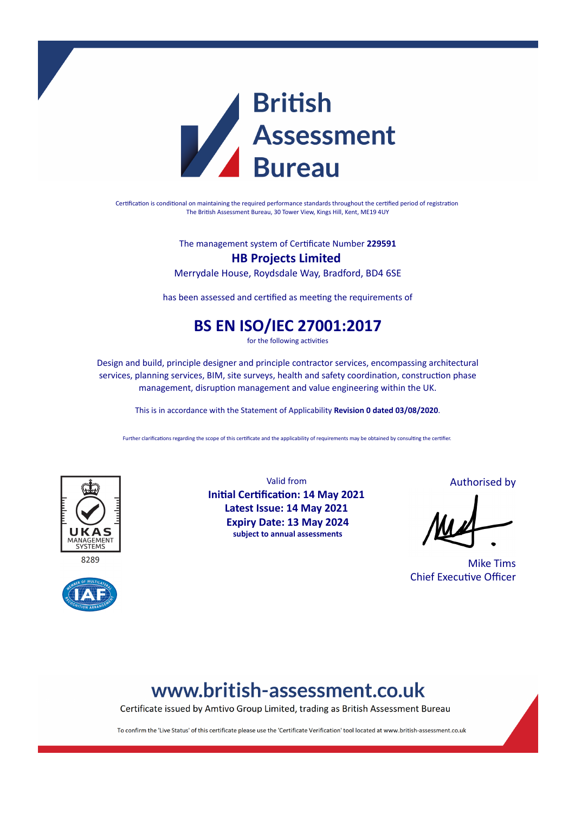

Certification is conditional on maintaining the required performance standards throughout the certified period of registration The British Assessment Bureau, 30 Tower View, Kings Hill, Kent, ME19 4UY

The management system of Certificate Number **229591**

### **HB Projects Limited**

Merrydale House, Roydsdale Way, Bradford, BD4 6SE

has been assessed and certified as meeting the requirements of

## **BS EN ISO/IEC 27001:2017**

for the following activities

Design and build, principle designer and principle contractor services, encompassing architectural services, planning services, BIM, site surveys, health and safety coordination, construction phase management, disruption management and value engineering within the UK.

This is in accordance with the Statement of Applicability **Revision 0 dated 03/08/2020**.

Further clarifications regarding the scope of this certificate and the applicability of requirements may be obtained by consulting the certifier.



 $828c$ 



Valid from **Initial Certification: 14 May 2021 Latest Issue: 14 May 2021 Expiry Date: 13 May 2024 subject to annual assessments**

Authorised by

Mike Tims Chief Executive Officer

# www.british-assessment.co.uk

Certificate issued by Amtivo Group Limited, trading as British Assessment Bureau

To confirm the 'Live Status' of this certificate please use the 'Certificate Verification' tool located at www.british-assessment.co.uk